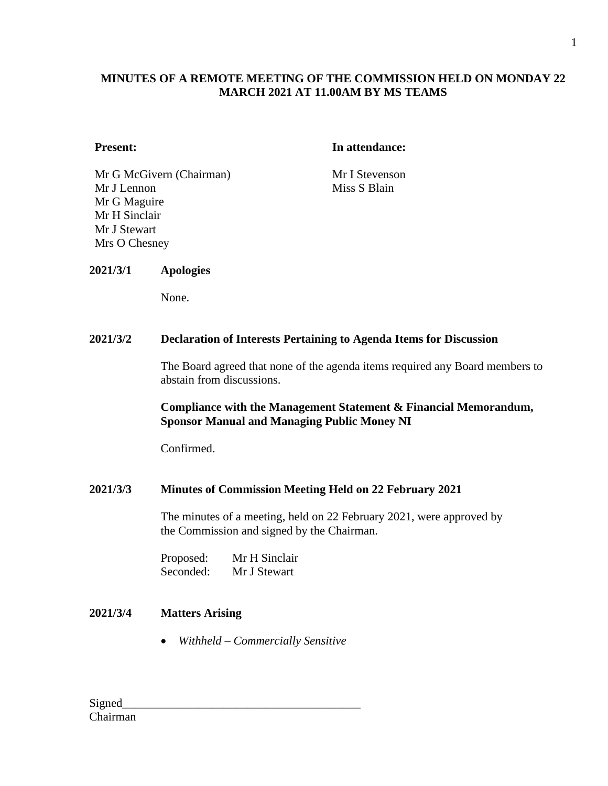## **MINUTES OF A REMOTE MEETING OF THE COMMISSION HELD ON MONDAY 22 MARCH 2021 AT 11.00AM BY MS TEAMS**

#### **Present: In attendance:**

Mr G McGivern (Chairman) Mr I Stevenson Mr J Lennon Mr G Maguire Mr H Sinclair Mr J Stewart Mrs O Chesney

Miss S Blain

#### **2021/3/1 Apologies**

None.

#### **2021/3/2 Declaration of Interests Pertaining to Agenda Items for Discussion**

The Board agreed that none of the agenda items required any Board members to abstain from discussions.

#### **Compliance with the Management Statement & Financial Memorandum, Sponsor Manual and Managing Public Money NI**

Confirmed.

#### **2021/3/3 Minutes of Commission Meeting Held on 22 February 2021**

The minutes of a meeting, held on 22 February 2021, were approved by the Commission and signed by the Chairman.

| Proposed: | Mr H Sinclair |
|-----------|---------------|
| Seconded: | Mr J Stewart  |

## **2021/3/4 Matters Arising**

• *Withheld – Commercially Sensitive*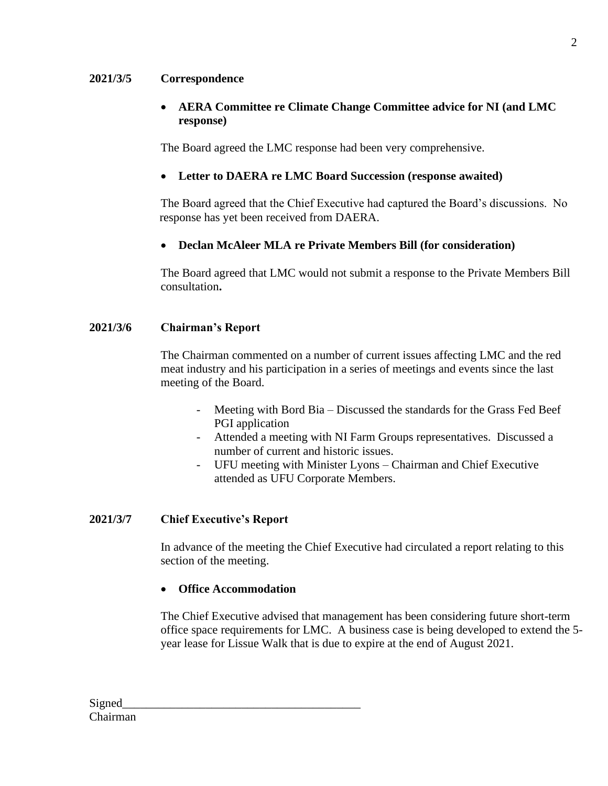#### **2021/3/5 Correspondence**

## • **AERA Committee re Climate Change Committee advice for NI (and LMC response)**

The Board agreed the LMC response had been very comprehensive.

## • **Letter to DAERA re LMC Board Succession (response awaited)**

The Board agreed that the Chief Executive had captured the Board's discussions. No response has yet been received from DAERA.

## • **Declan McAleer MLA re Private Members Bill (for consideration)**

The Board agreed that LMC would not submit a response to the Private Members Bill consultation**.**

## **2021/3/6 Chairman's Report**

The Chairman commented on a number of current issues affecting LMC and the red meat industry and his participation in a series of meetings and events since the last meeting of the Board.

- Meeting with Bord Bia Discussed the standards for the Grass Fed Beef PGI application
- Attended a meeting with NI Farm Groups representatives. Discussed a number of current and historic issues.
- UFU meeting with Minister Lyons Chairman and Chief Executive attended as UFU Corporate Members.

## **2021/3/7 Chief Executive's Report**

In advance of the meeting the Chief Executive had circulated a report relating to this section of the meeting.

## • **Office Accommodation**

The Chief Executive advised that management has been considering future short-term office space requirements for LMC. A business case is being developed to extend the 5 year lease for Lissue Walk that is due to expire at the end of August 2021.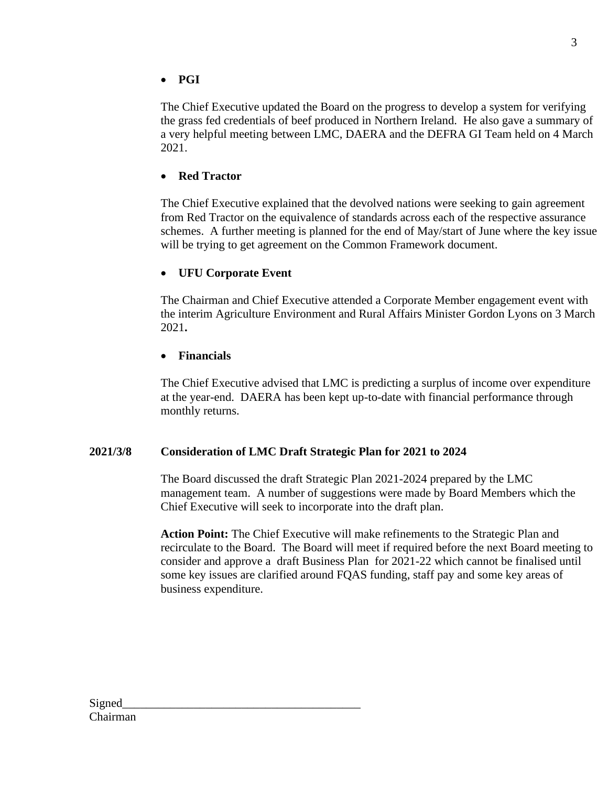The Chief Executive updated the Board on the progress to develop a system for verifying the grass fed credentials of beef produced in Northern Ireland. He also gave a summary of a very helpful meeting between LMC, DAERA and the DEFRA GI Team held on 4 March 2021.

# • **Red Tractor**

The Chief Executive explained that the devolved nations were seeking to gain agreement from Red Tractor on the equivalence of standards across each of the respective assurance schemes. A further meeting is planned for the end of May/start of June where the key issue will be trying to get agreement on the Common Framework document.

# • **UFU Corporate Event**

The Chairman and Chief Executive attended a Corporate Member engagement event with the interim Agriculture Environment and Rural Affairs Minister Gordon Lyons on 3 March 2021**.**

## • **Financials**

The Chief Executive advised that LMC is predicting a surplus of income over expenditure at the year-end. DAERA has been kept up-to-date with financial performance through monthly returns.

# **2021/3/8 Consideration of LMC Draft Strategic Plan for 2021 to 2024**

The Board discussed the draft Strategic Plan 2021-2024 prepared by the LMC management team. A number of suggestions were made by Board Members which the Chief Executive will seek to incorporate into the draft plan.

**Action Point:** The Chief Executive will make refinements to the Strategic Plan and recirculate to the Board. The Board will meet if required before the next Board meeting to consider and approve a draft Business Plan for 2021-22 which cannot be finalised until some key issues are clarified around FQAS funding, staff pay and some key areas of business expenditure.